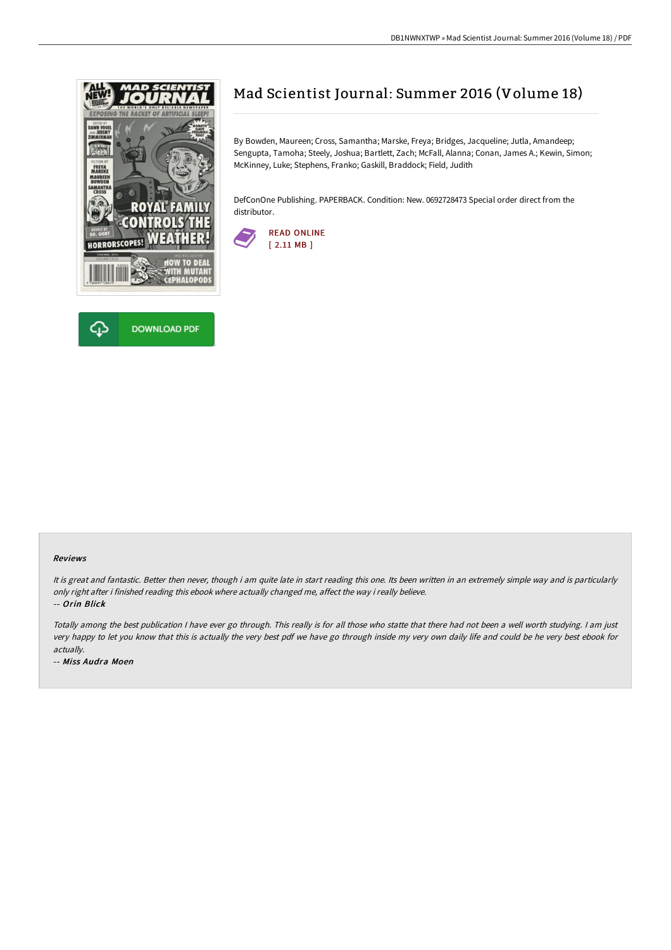



# Mad Scientist Journal: Summer 2016 (Volume 18)

By Bowden, Maureen; Cross, Samantha; Marske, Freya; Bridges, Jacqueline; Jutla, Amandeep; Sengupta, Tamoha; Steely, Joshua; Bartlett, Zach; McFall, Alanna; Conan, James A.; Kewin, Simon; McKinney, Luke; Stephens, Franko; Gaskill, Braddock; Field, Judith

DefConOne Publishing. PAPERBACK. Condition: New. 0692728473 Special order direct from the distributor.



#### Reviews

It is great and fantastic. Better then never, though i am quite late in start reading this one. Its been written in an extremely simple way and is particularly only right after i finished reading this ebook where actually changed me, affect the way i really believe. -- Orin Blick

Totally among the best publication <sup>I</sup> have ever go through. This really is for all those who statte that there had not been <sup>a</sup> well worth studying. <sup>I</sup> am just very happy to let you know that this is actually the very best pdf we have go through inside my very own daily life and could be he very best ebook for actually.

-- Miss Audra Moen